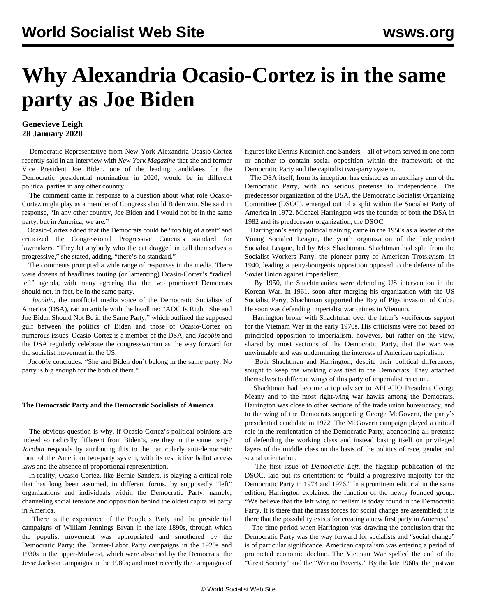# **Why Alexandria Ocasio-Cortez is in the same party as Joe Biden**

### **Genevieve Leigh 28 January 2020**

 Democratic Representative from New York Alexandria Ocasio-Cortez recently said in an interview with *New York Magazine* that she and former Vice President Joe Biden, one of the leading candidates for the Democratic presidential nomination in 2020, would be in different political parties in any other country.

 The comment came in response to a question about what role Ocasio-Cortez might play as a member of Congress should Biden win. She said in response, "In any other country, Joe Biden and I would not be in the same party, but in America, we are."

 Ocasio-Cortez added that the Democrats could be "too big of a tent" and criticized the Congressional Progressive Caucus's standard for lawmakers. "They let anybody who the cat dragged in call themselves a progressive," she stated, adding, "there's no standard."

 The comments prompted a wide range of responses in the media. There were dozens of headlines touting (or lamenting) Ocasio-Cortez's "radical left" agenda, with many agreeing that the two prominent Democrats should not, in fact, be in the same party.

 *Jacobin*, the unofficial media voice of the Democratic Socialists of America (DSA), ran an article with the headline: "AOC Is Right: She and Joe Biden Should Not Be in the Same Party," which outlined the supposed gulf between the politics of Biden and those of Ocasio-Cortez on numerous issues. Ocasio-Cortez is a member of the DSA, and *Jacobin* and the DSA regularly celebrate the congresswoman as the way forward for the socialist movement in the US.

 *Jacobin* concludes: "She and Biden don't belong in the same party. No party is big enough for the both of them."

#### **The Democratic Party and the Democratic Socialists of America**

 The obvious question is why, if Ocasio-Cortez's political opinions are indeed so radically different from Biden's, are they in the same party? *Jacobin* responds by attributing this to the particularly anti-democratic form of the American two-party system, with its restrictive ballot access laws and the absence of proportional representation.

 In reality, Ocasio-Cortez, like Bernie Sanders, is playing a critical role that has long been assumed, in different forms, by supposedly "left" organizations and individuals within the Democratic Party: namely, channeling social tensions and opposition behind the oldest capitalist party in America.

 There is the experience of the People's Party and the presidential campaigns of William Jennings Bryan in the late 1890s, through which the populist movement was appropriated and smothered by the Democratic Party; the Farmer-Labor Party campaigns in the 1920s and 1930s in the upper-Midwest, which were absorbed by the Democrats; the Jesse Jackson campaigns in the 1980s; and most recently the campaigns of figures like Dennis Kucinich and Sanders—all of whom served in one form or another to contain social opposition within the framework of the Democratic Party and the capitalist two-party system.

 The DSA itself, from its inception, has existed as an auxiliary arm of the Democratic Party, with no serious pretense to independence. The predecessor organization of the DSA, the Democratic Socialist Organizing Committee (DSOC), emerged out of a split within the Socialist Party of America in 1972. Michael Harrington was the founder of both the DSA in 1982 and its predecessor organization, the DSOC.

 Harrington's early political training came in the 1950s as a leader of the Young Socialist League, the youth organization of the Independent Socialist League, led by Max Shachtman. Shachtman had split from the Socialist Workers Party, the pioneer party of American Trotskyism, in 1940, leading a petty-bourgeois opposition opposed to the defense of the Soviet Union against imperialism.

 By 1950, the Shachtmanites were defending US intervention in the Korean War. In 1961, soon after merging his organization with the US Socialist Party, Shachtman supported the Bay of Pigs invasion of Cuba. He soon was defending imperialist war crimes in Vietnam.

 Harrington broke with Shachtman over the latter's vociferous support for the Vietnam War in the early 1970s. His criticisms were not based on principled opposition to imperialism, however, but rather on the view, shared by most sections of the Democratic Party, that the war was unwinnable and was undermining the interests of American capitalism.

 Both Shachtman and Harrington, despite their political differences, sought to keep the working class tied to the Democrats. They attached themselves to different wings of this party of imperialist reaction.

 Shachtman had become a top adviser to AFL-CIO President George Meany and to the most right-wing war hawks among the Democrats. Harrington was close to other sections of the trade union bureaucracy, and to the wing of the Democrats supporting George McGovern, the party's presidential candidate in 1972. The McGovern campaign played a critical role in the reorientation of the Democratic Party, abandoning all pretense of defending the working class and instead basing itself on privileged layers of the middle class on the basis of the politics of race, gender and sexual orientation.

 The first issue of *Democratic Left*, the flagship publication of the DSOC, laid out its orientation: to "build a progressive majority for the Democratic Party in 1974 and 1976." In a prominent editorial in the same edition, Harrington explained the function of the newly founded group: "We believe that the left wing of realism is today found in the Democratic Party. It is there that the mass forces for social change are assembled; it is there that the possibility exists for creating a new first party in America."

 The time period when Harrington was drawing the conclusion that the Democratic Party was the way forward for socialists and "social change" is of particular significance. American capitalism was entering a period of protracted economic decline. The Vietnam War spelled the end of the "Great Society" and the "War on Poverty." By the late 1960s, the postwar